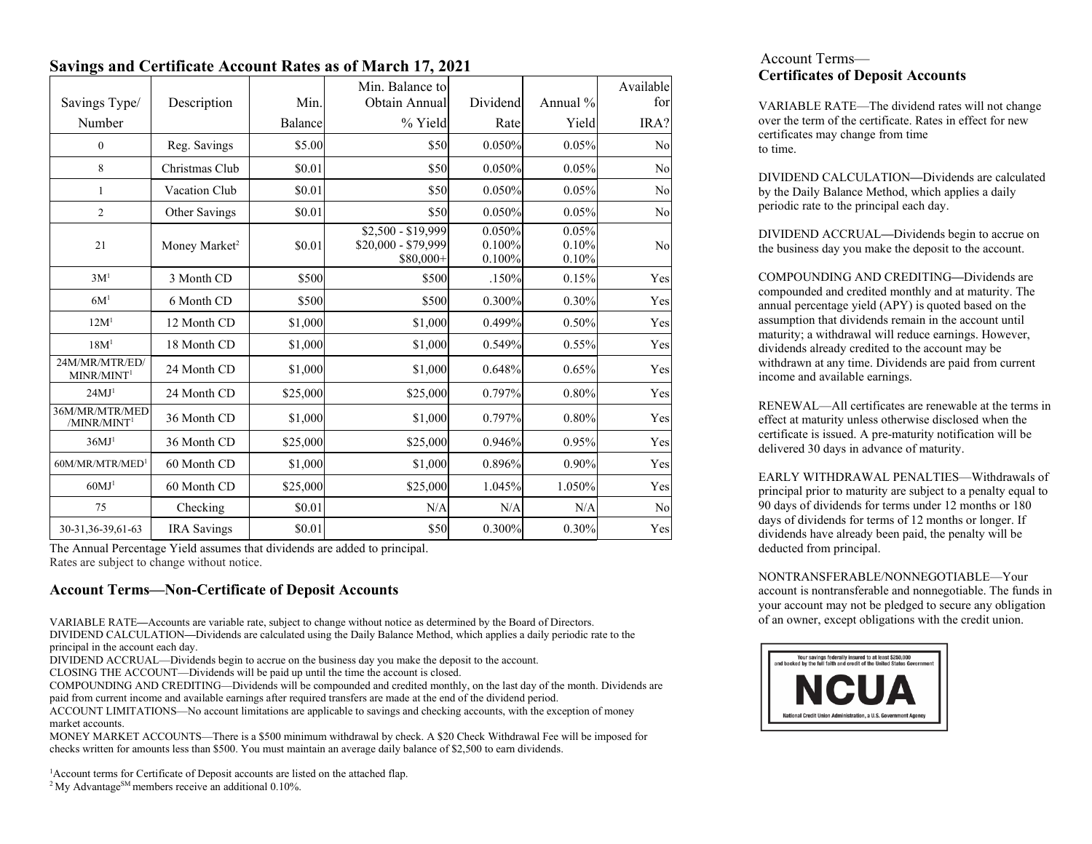# **Savings and Certificate Account Rates as of March 17, 2021**

|                                           |                           |          | Min. Balance to                                         |                            |                         | Available |
|-------------------------------------------|---------------------------|----------|---------------------------------------------------------|----------------------------|-------------------------|-----------|
| Savings Type/                             | Description               | Min.     | Obtain Annual                                           | Dividend                   | Annual %                | for       |
| Number                                    |                           | Balance  | % Yield                                                 | Rate                       | Yield                   | IRA?      |
| $\mathbf{0}$                              | Reg. Savings              | \$5.00   | \$50                                                    | 0.050%                     | 0.05%                   | No        |
| 8                                         | Christmas Club            | \$0.01   | \$50                                                    | 0.050%                     | 0.05%                   | No        |
| 1                                         | Vacation Club             | \$0.01   | \$50                                                    | 0.050%                     | 0.05%                   | No        |
| $\mathfrak{2}$                            | Other Savings             | \$0.01   | \$50                                                    | 0.050%                     | 0.05%                   | No        |
| 21                                        | Money Market <sup>2</sup> | \$0.01   | \$2,500 - \$19,999<br>\$20,000 - \$79,999<br>$$80,000+$ | 0.050%<br>0.100%<br>0.100% | 0.05%<br>0.10%<br>0.10% | No        |
| 3M <sup>1</sup>                           | 3 Month CD                | \$500    | \$500                                                   | .150%                      | 0.15%                   | Yes       |
| 6M <sup>1</sup>                           | 6 Month CD                | \$500    | \$500                                                   | 0.300%                     | 0.30%                   | Yes       |
| 12M <sup>1</sup>                          | 12 Month CD               | \$1,000  | \$1,000                                                 | 0.499%                     | 0.50%                   | Yes       |
| 18M <sup>1</sup>                          | 18 Month CD               | \$1,000  | \$1,000                                                 | 0.549%                     | 0.55%                   | Yes       |
| 24M/MR/MTR/ED/<br>MINR/MINT <sup>1</sup>  | 24 Month CD               | \$1,000  | \$1,000                                                 | 0.648%                     | 0.65%                   | Yes       |
| 24MJ <sup>1</sup>                         | 24 Month CD               | \$25,000 | \$25,000                                                | 0.797%                     | 0.80%                   | Yes       |
| 36M/MR/MTR/MED<br>/MINR/MINT <sup>1</sup> | 36 Month CD               | \$1,000  | \$1,000                                                 | 0.797%                     | 0.80%                   | Yes       |
| 36MJ <sup>1</sup>                         | 36 Month CD               | \$25,000 | \$25,000                                                | 0.946%                     | 0.95%                   | Yes       |
| 60M/MR/MTR/MED <sup>1</sup>               | 60 Month CD               | \$1,000  | \$1,000                                                 | 0.896%                     | $0.90\%$                | Yes       |
| 60MJ <sup>1</sup>                         | 60 Month CD               | \$25,000 | \$25,000                                                | 1.045%                     | 1.050%                  | Yes       |
| 75                                        | Checking                  | \$0.01   | N/A                                                     | N/A                        | N/A                     | No        |
| 30-31, 36-39, 61-63                       | <b>IRA</b> Savings        | \$0.01   | \$50                                                    | 0.300%                     | 0.30%                   | Yes       |

The Annual Percentage Yield assumes that dividends are added to principal. Rates are subject to change without notice.

# **Account Terms—Non-Certificate of Deposit Accounts**

VARIABLE RATE**—**Accounts are variable rate, subject to change without notice as determined by the Board of Directors. DIVIDEND CALCULATION**—**Dividends are calculated using the Daily Balance Method, which applies a daily periodic rate to the principal in the account each day.

DIVIDEND ACCRUAL—Dividends begin to accrue on the business day you make the deposit to the account.

CLOSING THE ACCOUNT—Dividends will be paid up until the time the account is closed.

COMPOUNDING AND CREDITING—Dividends will be compounded and credited monthly, on the last day of the month. Dividends are paid from current income and available earnings after required transfers are made at the end of the dividend period.

ACCOUNT LIMITATIONS—No account limitations are applicable to savings and checking accounts, with the exception of money market accounts.

MONEY MARKET ACCOUNTS—There is a \$500 minimum withdrawal by check. A \$20 Check Withdrawal Fee will be imposed for checks written for amounts less than \$500. You must maintain an average daily balance of \$2,500 to earn dividends.

<sup>1</sup> Account terms for Certificate of Deposit accounts are listed on the attached flap. <sup>2</sup> My Advantage<sup>SM</sup> members receive an additional 0.10%.

## Account Terms— **Certificates of Deposit Accounts**

VARIABLE RATE—The dividend rates will not change over the term of the certificate. Rates in effect for new certificates may change from time to time.

DIVIDEND CALCULATION**—**Dividends are calculated by the Daily Balance Method, which applies a daily periodic rate to the principal each day.

DIVIDEND ACCRUAL**—**Dividends begin to accrue on the business day you make the deposit to the account.

COMPOUNDING AND CREDITING**—**Dividends are compounded and credited monthly and at maturity. The annual percentage yield (APY) is quoted based on the assumption that dividends remain in the account until maturity; a withdrawal will reduce earnings. However, dividends already credited to the account may be withdrawn at any time. Dividends are paid from current income and available earnings.

RENEWAL—All certificates are renewable at the terms in effect at maturity unless otherwise disclosed when the certificate is issued. A pre-maturity notification will be delivered 30 days in advance of maturity.

EARLY WITHDRAWAL PENALTIES—Withdrawals of principal prior to maturity are subject to a penalty equal to 90 days of dividends for terms under 12 months or 180 days of dividends for terms of 12 months or longer. If dividends have already been paid, the penalty will be deducted from principal.

NONTRANSFERABLE/NONNEGOTIABLE—Your account is nontransferable and nonnegotiable. The funds in your account may not be pledged to secure any obligation of an owner, except obligations with the credit union.